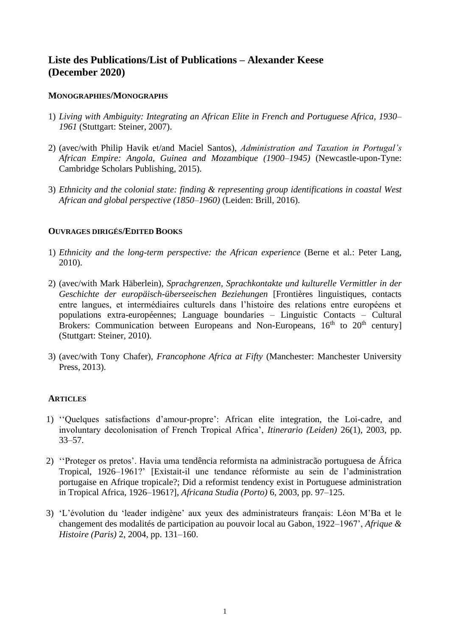# **Liste des Publications/List of Publications – Alexander Keese (December 2020)**

### **MONOGRAPHIES/MONOGRAPHS**

- 1) *Living with Ambiguity: Integrating an African Elite in French and Portuguese Africa, 1930– 1961* (Stuttgart: Steiner, 2007).
- 2) (avec/with Philip Havik et/and Maciel Santos), *Administration and Taxation in Portugal's African Empire: Angola, Guinea and Mozambique (1900–1945)* (Newcastle-upon-Tyne: Cambridge Scholars Publishing, 2015).
- 3) *Ethnicity and the colonial state: finding & representing group identifications in coastal West African and global perspective (1850–1960)* (Leiden: Brill, 2016).

### **OUVRAGES DIRIGÉS/EDITED BOOKS**

- 1) *Ethnicity and the long-term perspective: the African experience* (Berne et al.: Peter Lang, 2010).
- 2) (avec/with Mark Häberlein), *Sprachgrenzen, Sprachkontakte und kulturelle Vermittler in der Geschichte der europäisch-überseeischen Beziehungen* [Frontières linguistiques, contacts entre langues, et intermédiaires culturels dans l'histoire des relations entre européens et populations extra-européennes; Language boundaries – Linguistic Contacts – Cultural Brokers: Communication between Europeans and Non-Europeans,  $16<sup>th</sup>$  to  $20<sup>th</sup>$  century] (Stuttgart: Steiner, 2010).
- 3) (avec/with Tony Chafer), *Francophone Africa at Fifty* (Manchester: Manchester University Press, 2013).

#### **ARTICLES**

- 1) ''Quelques satisfactions d'amour-propre': African elite integration, the Loi-cadre, and involuntary decolonisation of French Tropical Africa', *Itinerario (Leiden)* 26(1), 2003, pp. 33–57.
- 2) ''Proteger os pretos'. Havia uma tendência reformista na administracão portuguesa de África Tropical, 1926–1961?' [Existait-il une tendance réformiste au sein de l'administration portugaise en Afrique tropicale?; Did a reformist tendency exist in Portuguese administration in Tropical Africa, 1926–1961?], *Africana Studia (Porto)* 6, 2003, pp. 97–125.
- 3) 'L'évolution du 'leader indigène' aux yeux des administrateurs français: Léon M'Ba et le changement des modalités de participation au pouvoir local au Gabon, 1922–1967', *Afrique & Histoire (Paris)* 2, 2004, pp. 131–160.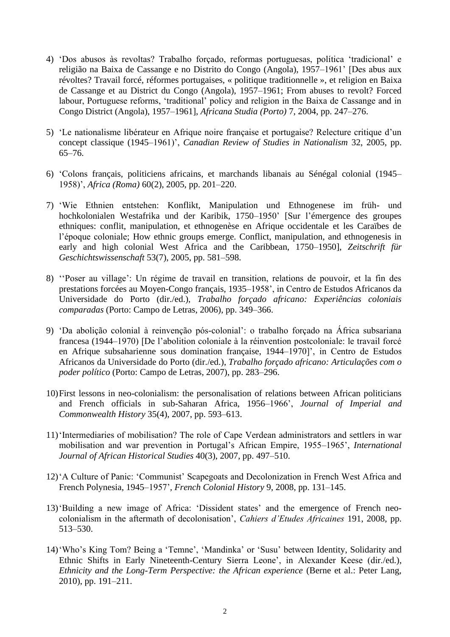- 4) 'Dos abusos às revoltas? Trabalho forçado, reformas portuguesas, política 'tradicional' e religião na Baixa de Cassange e no Distrito do Congo (Angola), 1957–1961' [Des abus aux révoltes? Travail forcé, réformes portugaises, « politique traditionnelle », et religion en Baixa de Cassange et au District du Congo (Angola), 1957–1961; From abuses to revolt? Forced labour, Portuguese reforms, 'traditional' policy and religion in the Baixa de Cassange and in Congo District (Angola), 1957–1961], *Africana Studia (Porto)* 7, 2004, pp. 247–276.
- 5) 'Le nationalisme libérateur en Afrique noire française et portugaise? Relecture critique d'un concept classique (1945–1961)', *Canadian Review of Studies in Nationalism* 32, 2005, pp. 65–76.
- 6) 'Colons français, politiciens africains, et marchands libanais au Sénégal colonial (1945– 1958)', *Africa (Roma)* 60(2), 2005, pp. 201–220.
- 7) 'Wie Ethnien entstehen: Konflikt, Manipulation und Ethnogenese im früh- und hochkolonialen Westafrika und der Karibik, 1750–1950' [Sur l'émergence des groupes ethniques: conflit, manipulation, et ethnogenèse en Afrique occidentale et les Caraïbes de l'époque coloniale; How ethnic groups emerge. Conflict, manipulation, and ethnogenesis in early and high colonial West Africa and the Caribbean, 1750–1950], *Zeitschrift für Geschichtswissenschaft* 53(7), 2005, pp. 581–598.
- 8) ''Poser au village': Un régime de travail en transition, relations de pouvoir, et la fin des prestations forcées au Moyen-Congo français, 1935–1958', in Centro de Estudos Africanos da Universidade do Porto (dir./ed.), *Trabalho forçado africano: Experiências coloniais comparadas* (Porto: Campo de Letras, 2006), pp. 349–366.
- 9) 'Da abolição colonial à reinvenção pós-colonial': o trabalho forçado na África subsariana francesa (1944–1970) [De l'abolition coloniale à la réinvention postcoloniale: le travail forcé en Afrique subsaharienne sous domination française, 1944–1970]', in Centro de Estudos Africanos da Universidade do Porto (dir./ed.), *Trabalho forçado africano: Articulações com o poder político* (Porto: Campo de Letras, 2007), pp. 283–296.
- 10)First lessons in neo-colonialism: the personalisation of relations between African politicians and French officials in sub-Saharan Africa, 1956–1966', *Journal of Imperial and Commonwealth History* 35(4), 2007, pp. 593–613.
- 11)'Intermediaries of mobilisation? The role of Cape Verdean administrators and settlers in war mobilisation and war prevention in Portugal's African Empire, 1955–1965', *International Journal of African Historical Studies* 40(3), 2007, pp. 497–510.
- 12)'A Culture of Panic: 'Communist' Scapegoats and Decolonization in French West Africa and French Polynesia, 1945–1957'*, French Colonial History* 9, 2008, pp. 131–145.
- 13)'Building a new image of Africa: 'Dissident states' and the emergence of French neocolonialism in the aftermath of decolonisation', *Cahiers d'Etudes Africaines* 191, 2008, pp. 513–530.
- 14)'Who's King Tom? Being a 'Temne', 'Mandinka' or 'Susu' between Identity, Solidarity and Ethnic Shifts in Early Nineteenth-Century Sierra Leone', in Alexander Keese (dir./ed.), *Ethnicity and the Long-Term Perspective: the African experience* (Berne et al.: Peter Lang, 2010), pp. 191–211.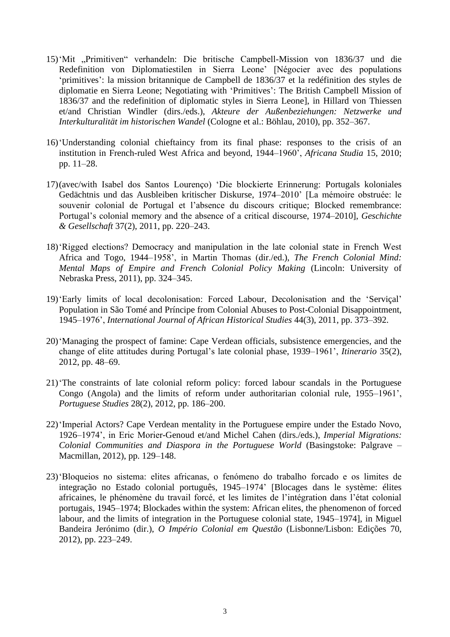- 15)'Mit "Primitiven" verhandeln: Die britische Campbell-Mission von 1836/37 und die Redefinition von Diplomatiestilen in Sierra Leone' [Négocier avec des populations 'primitives': la mission britannique de Campbell de 1836/37 et la redéfinition des styles de diplomatie en Sierra Leone; Negotiating with 'Primitives': The British Campbell Mission of 1836/37 and the redefinition of diplomatic styles in Sierra Leone], in Hillard von Thiessen et/and Christian Windler (dirs./eds.), *Akteure der Außenbeziehungen: Netzwerke und Interkulturalität im historischen Wandel* (Cologne et al.: Böhlau, 2010), pp. 352–367.
- 16)'Understanding colonial chieftaincy from its final phase: responses to the crisis of an institution in French-ruled West Africa and beyond, 1944–1960', *Africana Studia* 15, 2010; pp. 11–28.
- 17)(avec/with Isabel dos Santos Lourenço) 'Die blockierte Erinnerung: Portugals koloniales Gedächtnis und das Ausbleiben kritischer Diskurse, 1974–2010' [La mémoire obstruée: le souvenir colonial de Portugal et l'absence du discours critique: Blocked remembrance: Portugal's colonial memory and the absence of a critical discourse, 1974–2010], *Geschichte & Gesellschaft* 37(2), 2011, pp. 220–243.
- 18)'Rigged elections? Democracy and manipulation in the late colonial state in French West Africa and Togo, 1944–1958', in Martin Thomas (dir./ed.), *The French Colonial Mind: Mental Maps of Empire and French Colonial Policy Making* (Lincoln: University of Nebraska Press, 2011), pp. 324–345.
- 19)'Early limits of local decolonisation: Forced Labour, Decolonisation and the 'Serviçal' Population in São Tomé and Príncipe from Colonial Abuses to Post-Colonial Disappointment, 1945–1976', *International Journal of African Historical Studies* 44(3), 2011, pp. 373–392.
- 20)'Managing the prospect of famine: Cape Verdean officials, subsistence emergencies, and the change of elite attitudes during Portugal's late colonial phase, 1939–1961', *Itinerario* 35(2), 2012, pp. 48–69.
- 21)'The constraints of late colonial reform policy: forced labour scandals in the Portuguese Congo (Angola) and the limits of reform under authoritarian colonial rule, 1955–1961', *Portuguese Studies* 28(2), 2012, pp. 186–200.
- 22)'Imperial Actors? Cape Verdean mentality in the Portuguese empire under the Estado Novo, 1926–1974', in Eric Morier-Genoud et/and Michel Cahen (dirs./eds.), *Imperial Migrations: Colonial Communities and Diaspora in the Portuguese World* (Basingstoke: Palgrave – Macmillan, 2012), pp. 129–148.
- 23)'Bloqueios no sistema: elites africanas, o fenómeno do trabalho forcado e os limites de integração no Estado colonial português, 1945–1974' [Blocages dans le système: élites africaines, le phénomène du travail forcé, et les limites de l'intégration dans l'état colonial portugais, 1945–1974; Blockades within the system: African elites, the phenomenon of forced labour, and the limits of integration in the Portuguese colonial state, 1945–1974], in Miguel Bandeira Jerónimo (dir.), *O Império Colonial em Questão* (Lisbonne/Lisbon: Edições 70, 2012), pp. 223–249.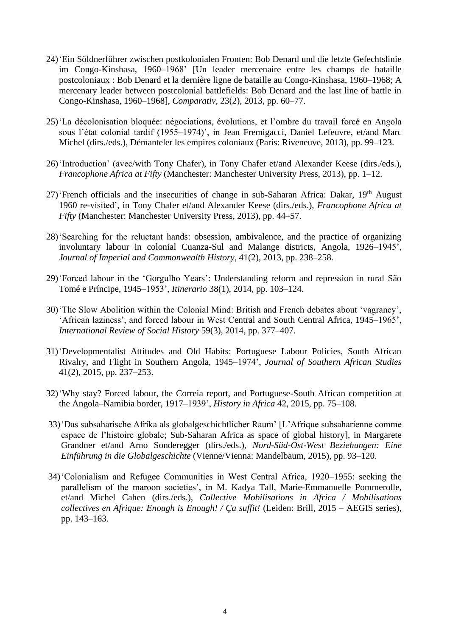- 24)'Ein Söldnerführer zwischen postkolonialen Fronten: Bob Denard und die letzte Gefechtslinie im Congo-Kinshasa, 1960–1968' [Un leader mercenaire entre les champs de bataille postcoloniaux : Bob Denard et la dernière ligne de bataille au Congo-Kinshasa, 1960–1968; A mercenary leader between postcolonial battlefields: Bob Denard and the last line of battle in Congo-Kinshasa, 1960–1968], *Comparativ*, 23(2), 2013, pp. 60–77.
- 25)'La décolonisation bloquée: négociations, évolutions, et l'ombre du travail forcé en Angola sous l'état colonial tardif (1955–1974)', in Jean Fremigacci, Daniel Lefeuvre, et/and Marc Michel (dirs./eds.), Démanteler les empires coloniaux (Paris: Riveneuve, 2013), pp. 99–123.
- 26)'Introduction' (avec/with Tony Chafer), in Tony Chafer et/and Alexander Keese (dirs./eds.), *Francophone Africa at Fifty* (Manchester: Manchester University Press, 2013), pp. 1–12.
- 27) 'French officials and the insecurities of change in sub-Saharan Africa: Dakar, 19<sup>th</sup> August 1960 re-visited', in Tony Chafer et/and Alexander Keese (dirs./eds.), *Francophone Africa at Fifty* (Manchester: Manchester University Press, 2013), pp. 44–57.
- 28)'Searching for the reluctant hands: obsession, ambivalence, and the practice of organizing involuntary labour in colonial Cuanza-Sul and Malange districts, Angola, 1926–1945', *Journal of Imperial and Commonwealth History*, 41(2), 2013, pp. 238–258.
- 29)'Forced labour in the 'Gorgulho Years': Understanding reform and repression in rural São Tomé e Príncipe, 1945–1953', *Itinerario* 38(1), 2014, pp. 103–124.
- 30)'The Slow Abolition within the Colonial Mind: British and French debates about 'vagrancy', 'African laziness', and forced labour in West Central and South Central Africa, 1945–1965', *International Review of Social History* 59(3), 2014, pp. 377–407.
- 31)'Developmentalist Attitudes and Old Habits: Portuguese Labour Policies, South African Rivalry, and Flight in Southern Angola, 1945–1974', *Journal of Southern African Studies*  41(2), 2015, pp. 237–253.
- 32)'Why stay? Forced labour, the Correia report, and Portuguese-South African competition at the Angola–Namibia border, 1917–1939', *History in Africa* 42, 2015, pp. 75–108.
- 33)'Das subsaharische Afrika als globalgeschichtlicher Raum' [L'Afrique subsaharienne comme espace de l'histoire globale; Sub-Saharan Africa as space of global history], in Margarete Grandner et/and Arno Sonderegger (dirs./eds.), *Nord-Süd-Ost-West Beziehungen: Eine Einführung in die Globalgeschichte* (Vienne/Vienna: Mandelbaum, 2015), pp. 93–120.
- 34)'Colonialism and Refugee Communities in West Central Africa, 1920–1955: seeking the parallelism of the maroon societies', in M. Kadya Tall, Marie-Emmanuelle Pommerolle, et/and Michel Cahen (dirs./eds.), *Collective Mobilisations in Africa / Mobilisations collectives en Afrique: Enough is Enough! / Ça suffit!* (Leiden: Brill, 2015 – AEGIS series), pp. 143–163.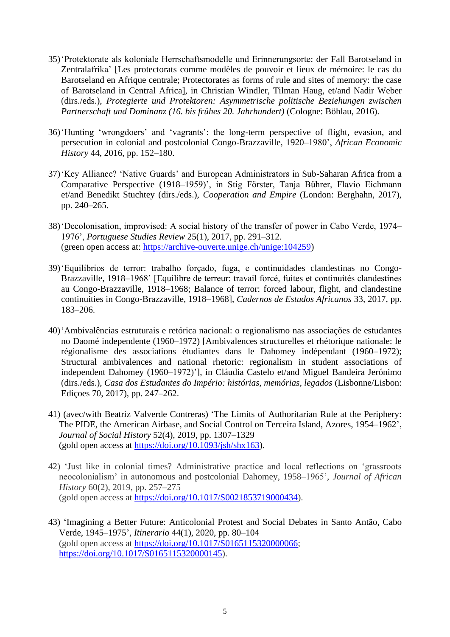- 35)'Protektorate als koloniale Herrschaftsmodelle und Erinnerungsorte: der Fall Barotseland in Zentralafrika' [Les protectorats comme modèles de pouvoir et lieux de mémoire: le cas du Barotseland en Afrique centrale; Protectorates as forms of rule and sites of memory: the case of Barotseland in Central Africa], in Christian Windler, Tilman Haug, et/and Nadir Weber (dirs./eds.), *Protegierte und Protektoren: Asymmetrische politische Beziehungen zwischen Partnerschaft und Dominanz (16. bis frühes 20. Jahrhundert)* (Cologne: Böhlau, 2016).
- 36)'Hunting 'wrongdoers' and 'vagrants': the long-term perspective of flight, evasion, and persecution in colonial and postcolonial Congo-Brazzaville, 1920–1980', *African Economic History* 44, 2016, pp. 152–180.
- 37)'Key Alliance? 'Native Guards' and European Administrators in Sub-Saharan Africa from a Comparative Perspective (1918–1959)', in Stig Förster, Tanja Bührer, Flavio Eichmann et/and Benedikt Stuchtey (dirs./eds.), *Cooperation and Empire* (London: Berghahn, 2017), pp. 240–265.
- 38)'Decolonisation, improvised: A social history of the transfer of power in Cabo Verde, 1974– 1976', *Portuguese Studies Review* 25(1), 2017, pp. 291–312. (green open access at: [https://archive-ouverte.unige.ch/unige:104259\)](https://archive-ouverte.unige.ch/unige:104259)
- 39)'Equilíbrios de terror: trabalho forçado, fuga, e continuidades clandestinas no Congo-Brazzaville, 1918–1968' [Equilibre de terreur: travail forcé, fuites et continuités clandestines au Congo-Brazzaville, 1918–1968; Balance of terror: forced labour, flight, and clandestine continuities in Congo-Brazzaville, 1918–1968], *Cadernos de Estudos Africanos* 33, 2017, pp. 183–206.
- 40)'Ambivalências estruturais e retórica nacional: o regionalismo nas associações de estudantes no Daomé independente (1960–1972) [Ambivalences structurelles et rhétorique nationale: le régionalisme des associations étudiantes dans le Dahomey indépendant (1960–1972); Structural ambivalences and national rhetoric: regionalism in student associations of independent Dahomey (1960–1972)'], in Cláudia Castelo et/and Miguel Bandeira Jerónimo (dirs./eds.), *Casa dos Estudantes do Império: histórias, memórias, legados* (Lisbonne/Lisbon: Ediçoes 70, 2017), pp. 247–262.
- 41) (avec/with Beatriz Valverde Contreras) 'The Limits of Authoritarian Rule at the Periphery: The PIDE, the American Airbase, and Social Control on Terceira Island, Azores, 1954–1962', *Journal of Social History* 52(4), 2019, pp. 1307–1329 (gold open access at [https://doi.org/10.1093/jsh/shx163\)](https://doi.org/10.1093/jsh/shx163).
- 42) 'Just like in colonial times? Administrative practice and local reflections on 'grassroots neocolonialism' in autonomous and postcolonial Dahomey, 1958–1965', *Journal of African History* 60(2), 2019, pp. 257–275 (gold open access at [https://doi.org/10.1017/S0021853719000434\)](https://doi.org/10.1017/S0021853719000434).
- 43) 'Imagining a Better Future: Anticolonial Protest and Social Debates in Santo Antão, Cabo Verde, 1945–1975', *Itinerario* 44(1), 2020, pp. 80–104 (gold open access at [https://doi.org/10.1017/S0165115320000066;](https://doi.org/10.1017/S0165115320000066) [https://doi.org/10.1017/S0165115320000145\)](https://doi.org/10.1017/S0165115320000145).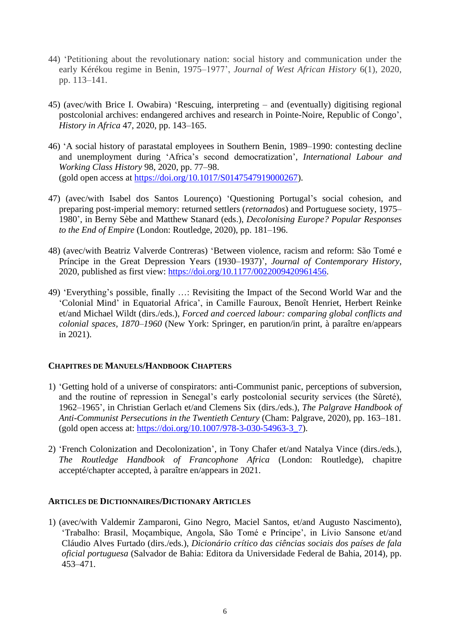- 44) 'Petitioning about the revolutionary nation: social history and communication under the early Kérékou regime in Benin, 1975–1977', *Journal of West African History* 6(1), 2020, pp. 113–141.
- 45) (avec/with Brice I. Owabira) 'Rescuing, interpreting and (eventually) digitising regional postcolonial archives: endangered archives and research in Pointe-Noire, Republic of Congo', *History in Africa* 47, 2020, pp. 143–165.
- 46) 'A social history of parastatal employees in Southern Benin, 1989–1990: contesting decline and unemployment during 'Africa's second democratization', *International Labour and Working Class History* 98, 2020, pp. 77–98. (gold open access at [https://doi.org/10.1017/S0147547919000267\)](https://doi.org/10.1017/S0147547919000267).
- 47) (avec/with Isabel dos Santos Lourenço) 'Questioning Portugal's social cohesion, and preparing post-imperial memory: returned settlers (*retornados*) and Portuguese society, 1975– 1980', in Berny Sèbe and Matthew Stanard (eds.), *Decolonising Europe? Popular Responses to the End of Empire* (London: Routledge, 2020), pp. 181–196.
- 48) (avec/with Beatriz Valverde Contreras) 'Between violence, racism and reform: São Tomé e Príncipe in the Great Depression Years (1930–1937)', *Journal of Contemporary History*, 2020, published as first view: [https://doi.org/10.1177/0022009420961456.](https://doi.org/10.1177%2F0022009420961456)
- 49) 'Everything's possible, finally …: Revisiting the Impact of the Second World War and the 'Colonial Mind' in Equatorial Africa', in Camille Fauroux, Benoît Henriet, Herbert Reinke et/and Michael Wildt (dirs./eds.), *Forced and coerced labour: comparing global conflicts and colonial spaces, 1870–1960* (New York: Springer, en parution/in print, à paraître en/appears in 2021).

## **CHAPITRES DE MANUELS/HANDBOOK CHAPTERS**

- 1) 'Getting hold of a universe of conspirators: anti-Communist panic, perceptions of subversion, and the routine of repression in Senegal's early postcolonial security services (the Sûreté), 1962–1965', in Christian Gerlach et/and Clemens Six (dirs./eds.), *The Palgrave Handbook of Anti-Communist Persecutions in the Twentieth Century* (Cham: Palgrave, 2020), pp. 163–181. (gold open access at: [https://doi.org/10.1007/978-3-030-54963-3\\_7\)](https://doi.org/10.1007/978-3-030-54963-3_7).
- 2) 'French Colonization and Decolonization', in Tony Chafer et/and Natalya Vince (dirs./eds.), *The Routledge Handbook of Francophone Africa* (London: Routledge), chapitre accepté/chapter accepted, à paraître en/appears in 2021.

#### **ARTICLES DE DICTIONNAIRES/DICTIONARY ARTICLES**

1) (avec/with Valdemir Zamparoni, Gino Negro, Maciel Santos, et/and Augusto Nascimento), 'Trabalho: Brasil, Moçambique, Angola, São Tomé e Príncipe', in Lívio Sansone et/and Cláudio Alves Furtado (dirs./eds.), *Dicionário crítico das ciências sociais dos países de fala oficial portuguesa* (Salvador de Bahia: Editora da Universidade Federal de Bahia, 2014), pp. 453–471.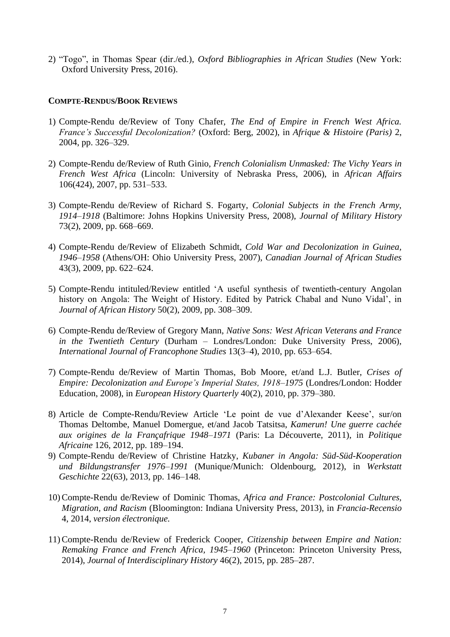2) "Togo", in Thomas Spear (dir./ed.), *Oxford Bibliographies in African Studies* (New York: Oxford University Press, 2016).

#### **COMPTE-RENDUS/BOOK REVIEWS**

- 1) Compte-Rendu de/Review of Tony Chafer, *The End of Empire in French West Africa. France's Successful Decolonization?* (Oxford: Berg, 2002), in *Afrique & Histoire (Paris)* 2, 2004, pp. 326–329.
- 2) Compte-Rendu de/Review of Ruth Ginio, *French Colonialism Unmasked: The Vichy Years in French West Africa* (Lincoln: University of Nebraska Press, 2006), in *African Affairs* 106(424), 2007, pp. 531–533.
- 3) Compte-Rendu de/Review of Richard S. Fogarty, *Colonial Subjects in the French Army, 1914–1918* (Baltimore: Johns Hopkins University Press, 2008), *Journal of Military History* 73(2), 2009, pp. 668–669.
- 4) Compte-Rendu de/Review of Elizabeth Schmidt, *Cold War and Decolonization in Guinea, 1946–1958* (Athens/OH: Ohio University Press, 2007), *Canadian Journal of African Studies* 43(3), 2009, pp. 622–624.
- 5) Compte-Rendu intituled/Review entitled 'A useful synthesis of twentieth-century Angolan history on Angola: The Weight of History. Edited by Patrick Chabal and Nuno Vidal', in *Journal of African History* 50(2), 2009, pp. 308–309.
- 6) Compte-Rendu de/Review of Gregory Mann, *Native Sons: West African Veterans and France in the Twentieth Century* (Durham – Londres/London: Duke University Press, 2006), *International Journal of Francophone Studies* 13(3–4), 2010, pp. 653–654.
- 7) Compte-Rendu de/Review of Martin Thomas, Bob Moore, et/and L.J. Butler, *Crises of Empire: Decolonization and Europe's Imperial States, 1918–1975* (Londres/London: Hodder Education, 2008), in *European History Quarterly* 40(2), 2010, pp. 379–380.
- 8) Article de Compte-Rendu/Review Article 'Le point de vue d'Alexander Keese', sur/on Thomas Deltombe, Manuel Domergue, et/and Jacob Tatsitsa, *Kamerun! Une guerre cachée aux origines de la Françafrique 1948–1971* (Paris: La Découverte, 2011), in *Politique Africaine* 126, 2012, pp. 189–194.
- 9) Compte-Rendu de/Review of Christine Hatzky, *Kubaner in Angola: Süd-Süd-Kooperation und Bildungstransfer 1976–1991* (Munique/Munich: Oldenbourg, 2012), in *Werkstatt Geschichte* 22(63), 2013, pp. 146–148.
- 10)Compte-Rendu de/Review of Dominic Thomas, *Africa and France: Postcolonial Cultures, Migration, and Racism* (Bloomington: Indiana University Press, 2013), in *Francia-Recensio*  4, 2014, *version électronique.*
- 11)Compte-Rendu de/Review of Frederick Cooper, *Citizenship between Empire and Nation: Remaking France and French Africa, 1945–1960* (Princeton: Princeton University Press, 2014), *Journal of Interdisciplinary History* 46(2), 2015, pp. 285–287.